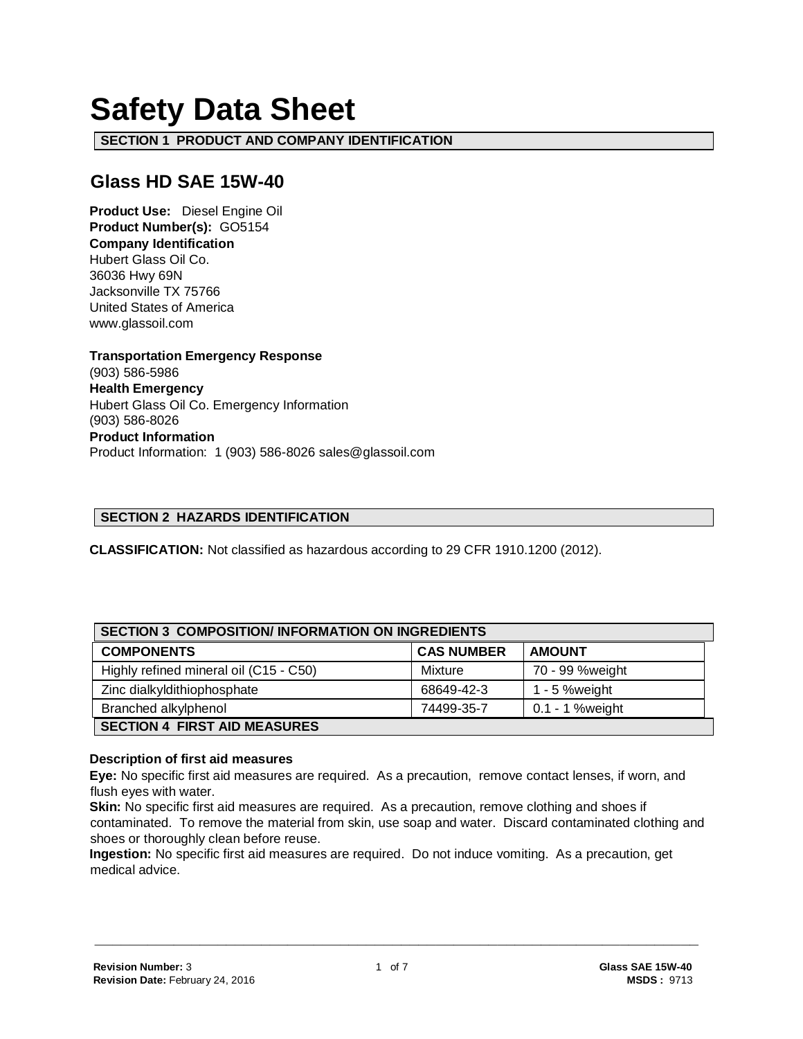# **Safety Data Sheet**

**SECTION 1 PRODUCT AND COMPANY IDENTIFICATION**

# **Glass HD SAE 15W-40**

**Product Use:** Diesel Engine Oil **Product Number(s):** GO5154 **Company Identification** Hubert Glass Oil Co. 36036 Hwy 69N Jacksonville TX 75766 United States of America www.glassoil.com

**Transportation Emergency Response** (903) 586-5986 **Health Emergency** Hubert Glass Oil Co. Emergency Information (903) 586-8026 **Product Information**  Product Information: 1 (903) 586-8026 sales@glassoil.com

## **SECTION 2 HAZARDS IDENTIFICATION**

**CLASSIFICATION:** Not classified as hazardous according to 29 CFR 1910.1200 (2012).

| <b>SECTION 3 COMPOSITION/INFORMATION ON INGREDIENTS</b> |                   |                 |  |
|---------------------------------------------------------|-------------------|-----------------|--|
| <b>COMPONENTS</b>                                       | <b>CAS NUMBER</b> | <b>AMOUNT</b>   |  |
| Highly refined mineral oil (C15 - C50)                  | Mixture           | 70 - 99 %weight |  |
| Zinc dialkyldithiophosphate                             | 68649-42-3        | 1 - 5 % weight  |  |
| Branched alkylphenol                                    | 74499-35-7        | 0.1 - 1 %weight |  |
| <b>SECTION 4 FIRST AID MEASURES</b>                     |                   |                 |  |

#### **Description of first aid measures**

**Eye:** No specific first aid measures are required. As a precaution, remove contact lenses, if worn, and flush eyes with water.

**Skin:** No specific first aid measures are required. As a precaution, remove clothing and shoes if contaminated. To remove the material from skin, use soap and water. Discard contaminated clothing and shoes or thoroughly clean before reuse.

**Ingestion:** No specific first aid measures are required. Do not induce vomiting. As a precaution, get medical advice.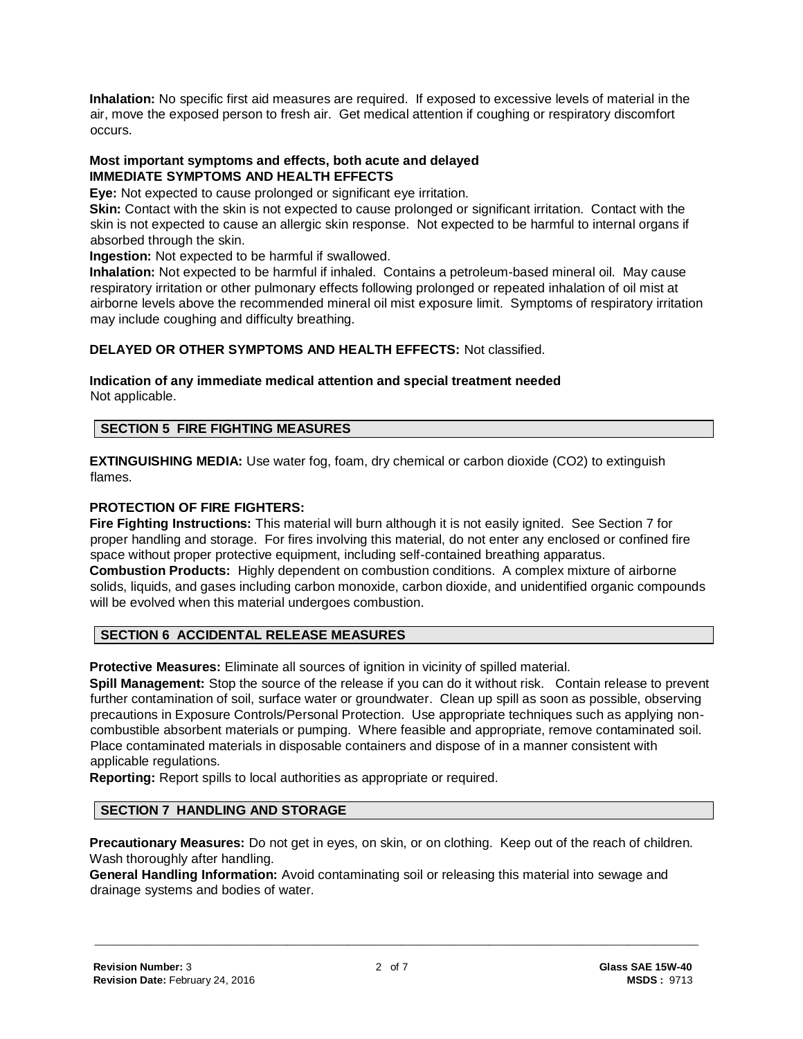**Inhalation:** No specific first aid measures are required. If exposed to excessive levels of material in the air, move the exposed person to fresh air. Get medical attention if coughing or respiratory discomfort occurs.

#### **Most important symptoms and effects, both acute and delayed IMMEDIATE SYMPTOMS AND HEALTH EFFECTS**

**Eye:** Not expected to cause prolonged or significant eye irritation.

**Skin:** Contact with the skin is not expected to cause prolonged or significant irritation. Contact with the skin is not expected to cause an allergic skin response. Not expected to be harmful to internal organs if absorbed through the skin.

**Ingestion:** Not expected to be harmful if swallowed.

**Inhalation:** Not expected to be harmful if inhaled. Contains a petroleum-based mineral oil. May cause respiratory irritation or other pulmonary effects following prolonged or repeated inhalation of oil mist at airborne levels above the recommended mineral oil mist exposure limit. Symptoms of respiratory irritation may include coughing and difficulty breathing.

# **DELAYED OR OTHER SYMPTOMS AND HEALTH EFFECTS:** Not classified.

#### **Indication of any immediate medical attention and special treatment needed**  Not applicable.

# **SECTION 5 FIRE FIGHTING MEASURES**

**EXTINGUISHING MEDIA:** Use water fog, foam, dry chemical or carbon dioxide (CO2) to extinguish flames.

#### **PROTECTION OF FIRE FIGHTERS:**

**Fire Fighting Instructions:** This material will burn although it is not easily ignited. See Section 7 for proper handling and storage. For fires involving this material, do not enter any enclosed or confined fire space without proper protective equipment, including self-contained breathing apparatus. **Combustion Products:** Highly dependent on combustion conditions. A complex mixture of airborne solids, liquids, and gases including carbon monoxide, carbon dioxide, and unidentified organic compounds will be evolved when this material undergoes combustion.

# **SECTION 6 ACCIDENTAL RELEASE MEASURES**

**Protective Measures:** Eliminate all sources of ignition in vicinity of spilled material.

**Spill Management:** Stop the source of the release if you can do it without risk. Contain release to prevent further contamination of soil, surface water or groundwater. Clean up spill as soon as possible, observing precautions in Exposure Controls/Personal Protection. Use appropriate techniques such as applying noncombustible absorbent materials or pumping. Where feasible and appropriate, remove contaminated soil. Place contaminated materials in disposable containers and dispose of in a manner consistent with applicable regulations.

**Reporting:** Report spills to local authorities as appropriate or required.

## **SECTION 7 HANDLING AND STORAGE**

**Precautionary Measures:** Do not get in eyes, on skin, or on clothing. Keep out of the reach of children. Wash thoroughly after handling.

**General Handling Information:** Avoid contaminating soil or releasing this material into sewage and drainage systems and bodies of water.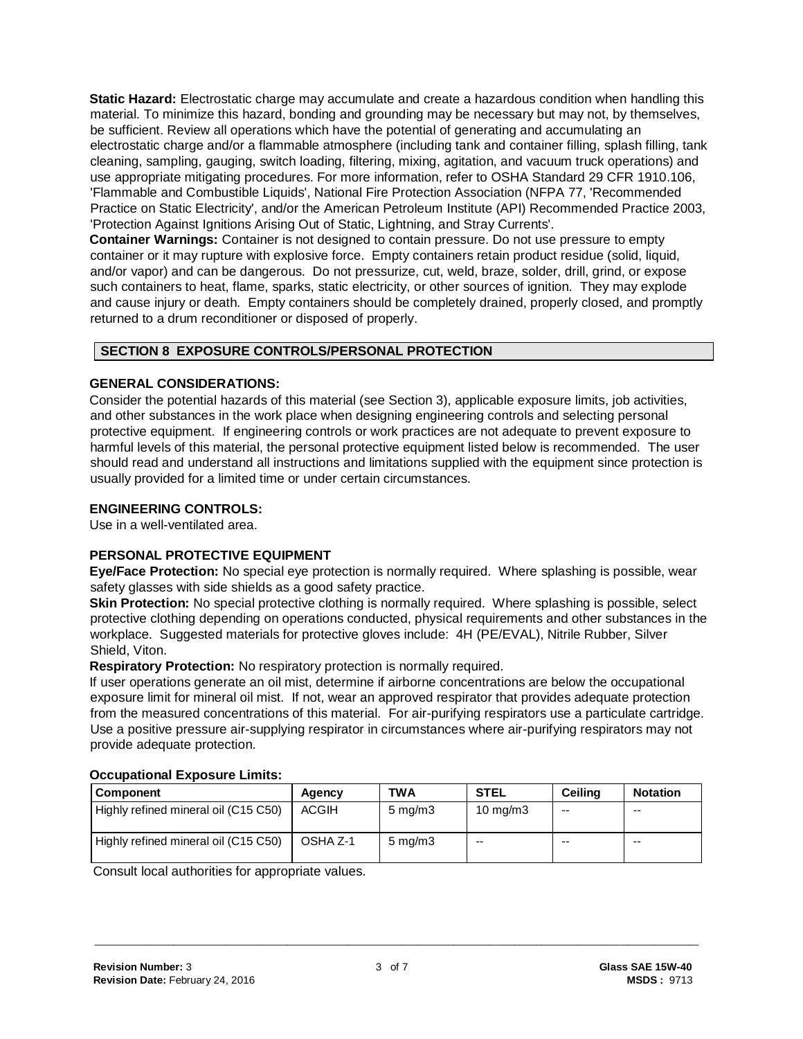**Static Hazard:** Electrostatic charge may accumulate and create a hazardous condition when handling this material. To minimize this hazard, bonding and grounding may be necessary but may not, by themselves, be sufficient. Review all operations which have the potential of generating and accumulating an electrostatic charge and/or a flammable atmosphere (including tank and container filling, splash filling, tank cleaning, sampling, gauging, switch loading, filtering, mixing, agitation, and vacuum truck operations) and use appropriate mitigating procedures. For more information, refer to OSHA Standard 29 CFR 1910.106, 'Flammable and Combustible Liquids', National Fire Protection Association (NFPA 77, 'Recommended Practice on Static Electricity', and/or the American Petroleum Institute (API) Recommended Practice 2003, 'Protection Against Ignitions Arising Out of Static, Lightning, and Stray Currents'.

**Container Warnings:** Container is not designed to contain pressure. Do not use pressure to empty container or it may rupture with explosive force. Empty containers retain product residue (solid, liquid, and/or vapor) and can be dangerous. Do not pressurize, cut, weld, braze, solder, drill, grind, or expose such containers to heat, flame, sparks, static electricity, or other sources of ignition. They may explode and cause injury or death. Empty containers should be completely drained, properly closed, and promptly returned to a drum reconditioner or disposed of properly.

# **SECTION 8 EXPOSURE CONTROLS/PERSONAL PROTECTION**

# **GENERAL CONSIDERATIONS:**

Consider the potential hazards of this material (see Section 3), applicable exposure limits, job activities, and other substances in the work place when designing engineering controls and selecting personal protective equipment. If engineering controls or work practices are not adequate to prevent exposure to harmful levels of this material, the personal protective equipment listed below is recommended. The user should read and understand all instructions and limitations supplied with the equipment since protection is usually provided for a limited time or under certain circumstances.

# **ENGINEERING CONTROLS:**

Use in a well-ventilated area.

# **PERSONAL PROTECTIVE EQUIPMENT**

**Eye/Face Protection:** No special eye protection is normally required. Where splashing is possible, wear safety glasses with side shields as a good safety practice.

**Skin Protection:** No special protective clothing is normally required. Where splashing is possible, select protective clothing depending on operations conducted, physical requirements and other substances in the workplace. Suggested materials for protective gloves include: 4H (PE/EVAL), Nitrile Rubber, Silver Shield, Viton.

**Respiratory Protection:** No respiratory protection is normally required.

If user operations generate an oil mist, determine if airborne concentrations are below the occupational exposure limit for mineral oil mist. If not, wear an approved respirator that provides adequate protection from the measured concentrations of this material. For air-purifying respirators use a particulate cartridge. Use a positive pressure air-supplying respirator in circumstances where air-purifying respirators may not provide adequate protection.

| <b>Component</b>                     | Agency   | TWA                | <b>STEL</b>       | Ceilina | <b>Notation</b> |
|--------------------------------------|----------|--------------------|-------------------|---------|-----------------|
| Highly refined mineral oil (C15 C50) | ACGIH    | $5 \text{ mg/m}$ 3 | $10 \text{ mg/m}$ | --      | $- -$           |
| Highly refined mineral oil (C15 C50) | OSHA Z-1 | $5 \text{ mg/m}$ 3 | $- -$             | $- -$   | $- -$           |

#### **Occupational Exposure Limits:**

Consult local authorities for appropriate values.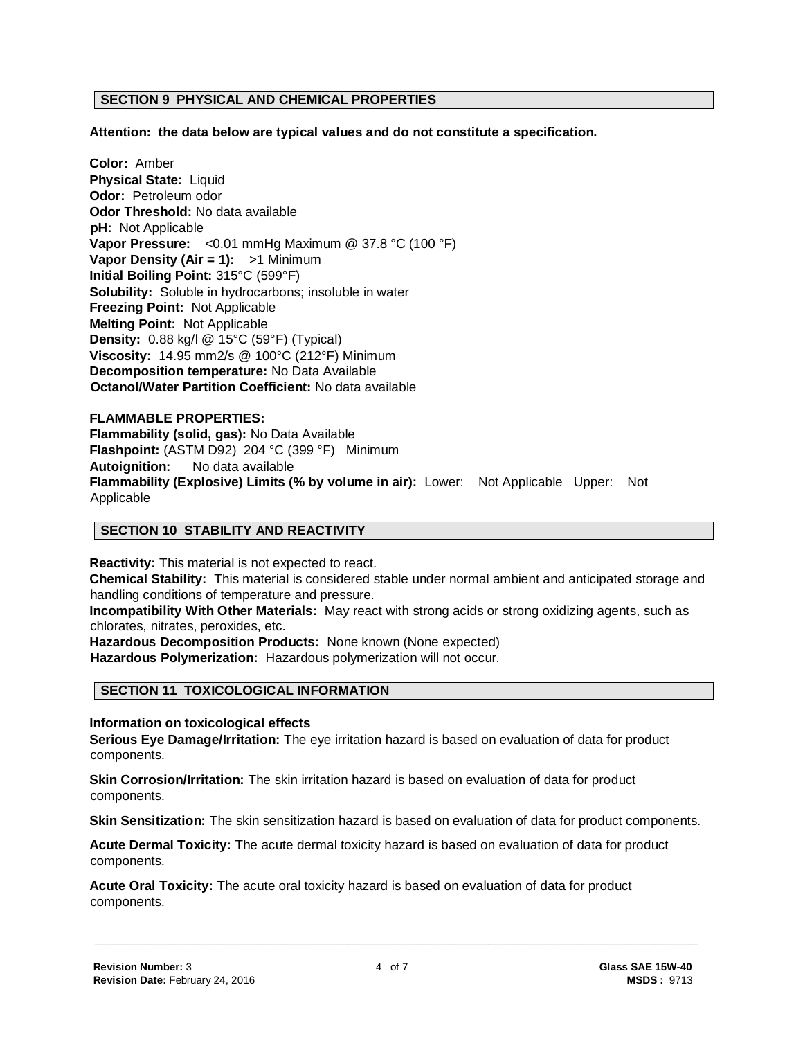#### **SECTION 9 PHYSICAL AND CHEMICAL PROPERTIES**

**Attention: the data below are typical values and do not constitute a specification.**

**Color:** Amber **Physical State:** Liquid **Odor:** Petroleum odor **Odor Threshold:** No data available **pH:** Not Applicable **Vapor Pressure:** <0.01 mmHg Maximum @ 37.8 °C (100 °F) **Vapor Density (Air = 1):** >1 Minimum **Initial Boiling Point:** 315°C (599°F) **Solubility:** Soluble in hydrocarbons; insoluble in water **Freezing Point:** Not Applicable **Melting Point:** Not Applicable **Density:** 0.88 kg/l @ 15°C (59°F) (Typical) **Viscosity:** 14.95 mm2/s @ 100°C (212°F) Minimum **Decomposition temperature:** No Data Available **Octanol/Water Partition Coefficient:** No data available

# **FLAMMABLE PROPERTIES: Flammability (solid, gas):** No Data Available **Flashpoint:** (ASTM D92) 204 °C (399 °F) Minimum **Autoignition:** No data available **Flammability (Explosive) Limits (% by volume in air):** Lower: Not Applicable Upper: Not Applicable

#### **SECTION 10 STABILITY AND REACTIVITY**

**Reactivity:** This material is not expected to react. **Chemical Stability:** This material is considered stable under normal ambient and anticipated storage and handling conditions of temperature and pressure.

**Incompatibility With Other Materials:** May react with strong acids or strong oxidizing agents, such as chlorates, nitrates, peroxides, etc.

**Hazardous Decomposition Products:** None known (None expected)

**Hazardous Polymerization:** Hazardous polymerization will not occur.

#### **SECTION 11 TOXICOLOGICAL INFORMATION**

**Information on toxicological effects**

**Serious Eye Damage/Irritation:** The eye irritation hazard is based on evaluation of data for product components.

**Skin Corrosion/Irritation:** The skin irritation hazard is based on evaluation of data for product components.

**Skin Sensitization:** The skin sensitization hazard is based on evaluation of data for product components.

**Acute Dermal Toxicity:** The acute dermal toxicity hazard is based on evaluation of data for product components.

**Acute Oral Toxicity:** The acute oral toxicity hazard is based on evaluation of data for product components.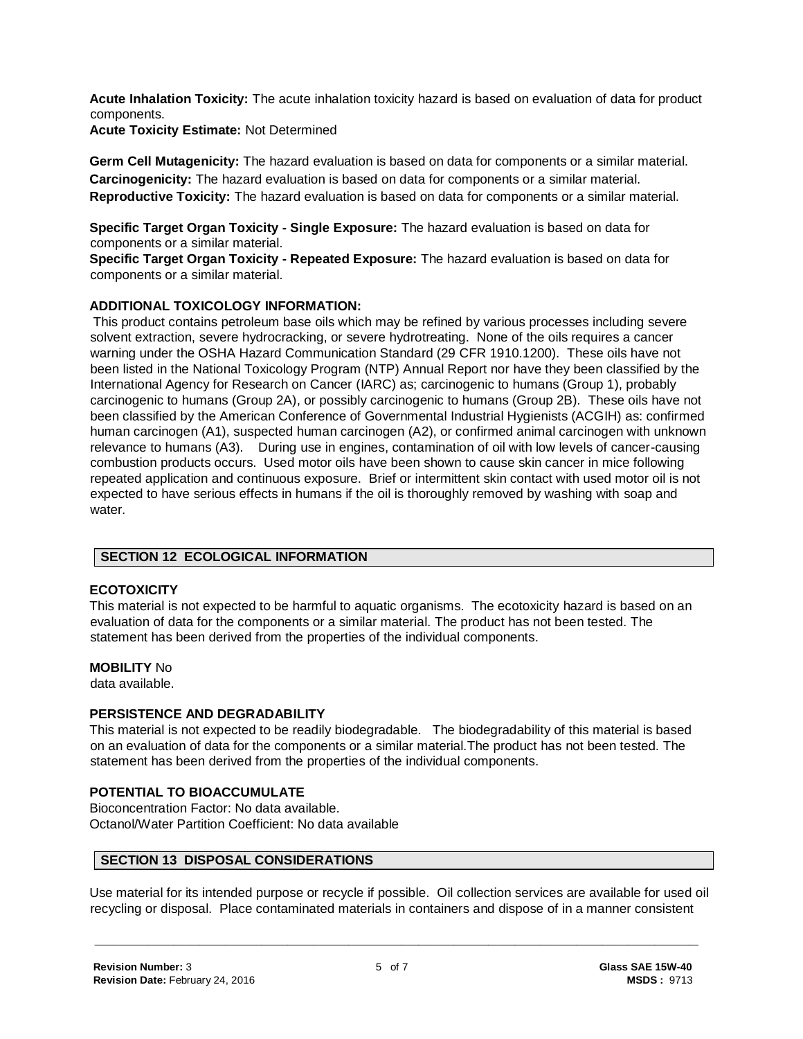**Acute Inhalation Toxicity:** The acute inhalation toxicity hazard is based on evaluation of data for product components.

**Acute Toxicity Estimate:** Not Determined

**Germ Cell Mutagenicity:** The hazard evaluation is based on data for components or a similar material. **Carcinogenicity:** The hazard evaluation is based on data for components or a similar material. **Reproductive Toxicity:** The hazard evaluation is based on data for components or a similar material.

**Specific Target Organ Toxicity - Single Exposure:** The hazard evaluation is based on data for components or a similar material.

**Specific Target Organ Toxicity - Repeated Exposure:** The hazard evaluation is based on data for components or a similar material.

# **ADDITIONAL TOXICOLOGY INFORMATION:**

This product contains petroleum base oils which may be refined by various processes including severe solvent extraction, severe hydrocracking, or severe hydrotreating. None of the oils requires a cancer warning under the OSHA Hazard Communication Standard (29 CFR 1910.1200). These oils have not been listed in the National Toxicology Program (NTP) Annual Report nor have they been classified by the International Agency for Research on Cancer (IARC) as; carcinogenic to humans (Group 1), probably carcinogenic to humans (Group 2A), or possibly carcinogenic to humans (Group 2B). These oils have not been classified by the American Conference of Governmental Industrial Hygienists (ACGIH) as: confirmed human carcinogen (A1), suspected human carcinogen (A2), or confirmed animal carcinogen with unknown relevance to humans (A3). During use in engines, contamination of oil with low levels of cancer-causing combustion products occurs. Used motor oils have been shown to cause skin cancer in mice following repeated application and continuous exposure. Brief or intermittent skin contact with used motor oil is not expected to have serious effects in humans if the oil is thoroughly removed by washing with soap and water.

# **SECTION 12 ECOLOGICAL INFORMATION**

# **ECOTOXICITY**

This material is not expected to be harmful to aquatic organisms. The ecotoxicity hazard is based on an evaluation of data for the components or a similar material. The product has not been tested. The statement has been derived from the properties of the individual components.

# **MOBILITY** No

data available.

# **PERSISTENCE AND DEGRADABILITY**

This material is not expected to be readily biodegradable. The biodegradability of this material is based on an evaluation of data for the components or a similar material.The product has not been tested. The statement has been derived from the properties of the individual components.

# **POTENTIAL TO BIOACCUMULATE**

Bioconcentration Factor: No data available. Octanol/Water Partition Coefficient: No data available

# **SECTION 13 DISPOSAL CONSIDERATIONS**

Use material for its intended purpose or recycle if possible. Oil collection services are available for used oil recycling or disposal. Place contaminated materials in containers and dispose of in a manner consistent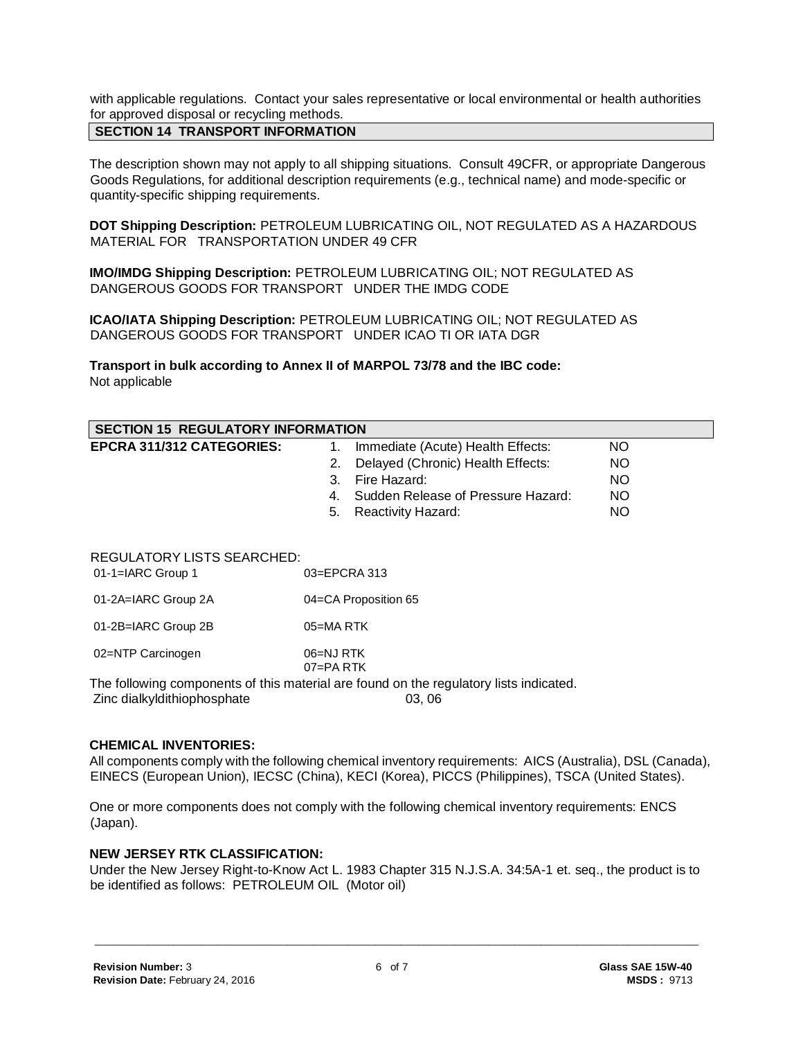with applicable regulations. Contact your sales representative or local environmental or health authorities for approved disposal or recycling methods.

# **SECTION 14 TRANSPORT INFORMATION**

The description shown may not apply to all shipping situations. Consult 49CFR, or appropriate Dangerous Goods Regulations, for additional description requirements (e.g., technical name) and mode-specific or quantity-specific shipping requirements.

**DOT Shipping Description:** PETROLEUM LUBRICATING OIL, NOT REGULATED AS A HAZARDOUS MATERIAL FOR TRANSPORTATION UNDER 49 CFR

**IMO/IMDG Shipping Description:** PETROLEUM LUBRICATING OIL; NOT REGULATED AS DANGEROUS GOODS FOR TRANSPORT UNDER THE IMDG CODE

**ICAO/IATA Shipping Description:** PETROLEUM LUBRICATING OIL; NOT REGULATED AS DANGEROUS GOODS FOR TRANSPORT UNDER ICAO TI OR IATA DGR

**Transport in bulk according to Annex II of MARPOL 73/78 and the IBC code:** Not applicable

| <b>SECTION 15 REGULATORY INFORMATION</b> |                  |                                       |           |  |
|------------------------------------------|------------------|---------------------------------------|-----------|--|
| <b>EPCRA 311/312 CATEGORIES:</b>         |                  | Immediate (Acute) Health Effects:     | NO.       |  |
|                                          | 2.               | Delayed (Chronic) Health Effects:     | <b>NO</b> |  |
|                                          | 3.               | Fire Hazard:                          | <b>NO</b> |  |
|                                          |                  | 4. Sudden Release of Pressure Hazard: | <b>NO</b> |  |
|                                          | 5.               | Reactivity Hazard:                    | <b>NO</b> |  |
|                                          |                  |                                       |           |  |
| <b>REGULATORY LISTS SEARCHED:</b>        |                  |                                       |           |  |
| $01-1=IARC$ Group 1                      | $03 = EPCRA$ 313 |                                       |           |  |
|                                          |                  |                                       |           |  |

| 01-2A=IARC Group 2A | 04=CA Proposition 65 |
|---------------------|----------------------|
|                     |                      |

01-2B=IARC Group 2B 05=MA RTK

02=NTP Carcinogen 06=NJ RTK

07=PA RTK

The following components of this material are found on the regulatory lists indicated.

Zinc dialkyldithiophosphate 03, 06

#### **CHEMICAL INVENTORIES:**

All components comply with the following chemical inventory requirements: AICS (Australia), DSL (Canada), EINECS (European Union), IECSC (China), KECI (Korea), PICCS (Philippines), TSCA (United States).

One or more components does not comply with the following chemical inventory requirements: ENCS (Japan).

#### **NEW JERSEY RTK CLASSIFICATION:**

Under the New Jersey Right-to-Know Act L. 1983 Chapter 315 N.J.S.A. 34:5A-1 et. seq., the product is to be identified as follows: PETROLEUM OIL (Motor oil)